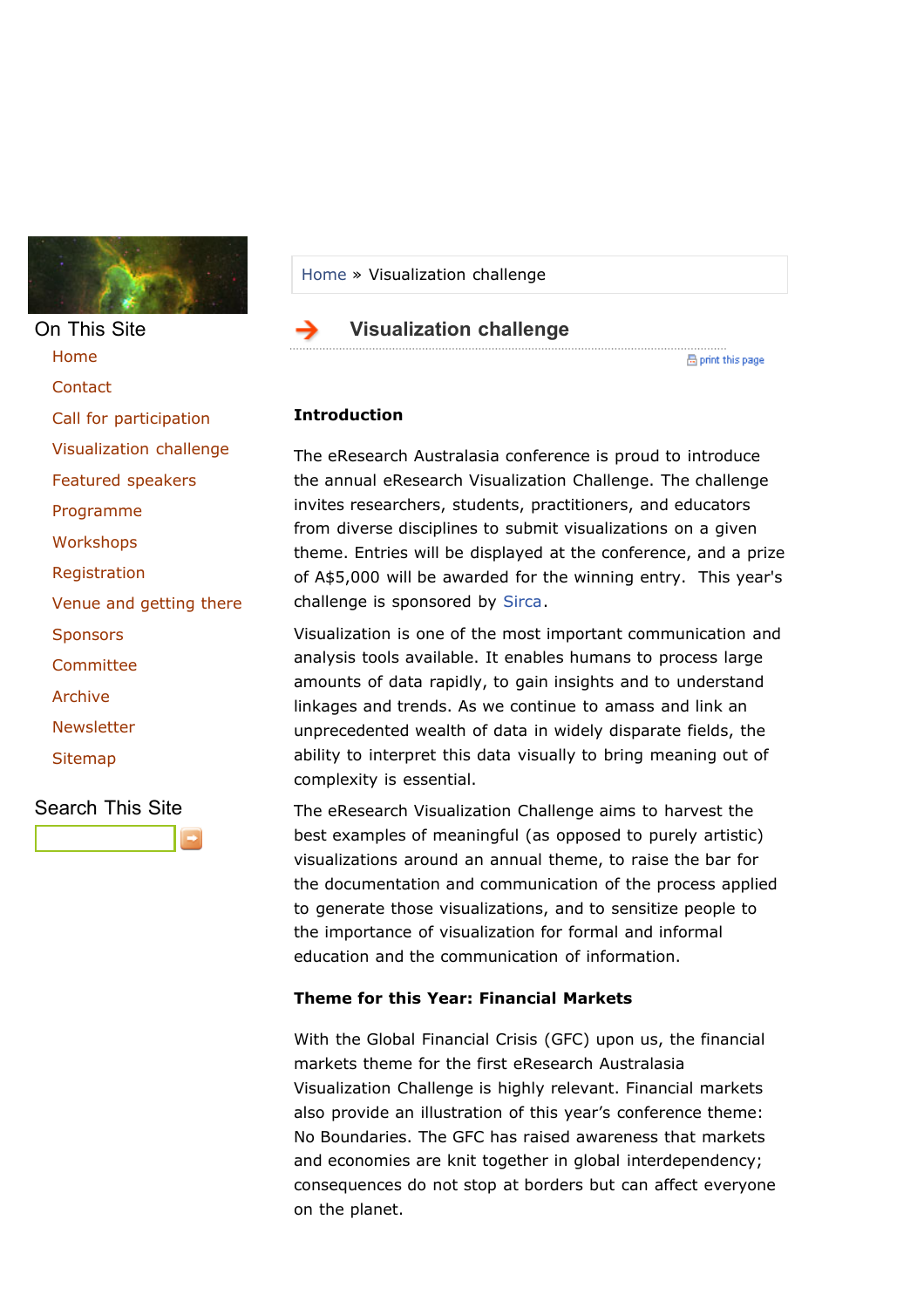

On This Site [Home](http://www.eresearch.edu.au/index.html) **[Contact](http://www.eresearch.edu.au/contact)** [Call for participation](http://www.eresearch.edu.au/participation) [Visualization challenge](http://www.eresearch.edu.au/vischallenge) [Featured speakers](http://www.eresearch.edu.au/speakers) [Programme](http://www.eresearch.edu.au/programme) **[Workshops](http://www.eresearch.edu.au/workshops2009)** [Registration](http://www.eresearch.edu.au/registration) [Venue and getting there](http://www.eresearch.edu.au/venue2009) **[Sponsors](http://www.eresearch.edu.au/sponsors) [Committee](http://www.eresearch.edu.au/committee)** [Archive](http://www.eresearch.edu.au/archive) **[Newsletter](http://www.eresearch.edu.au/newsletter)** [Sitemap](http://www.eresearch.edu.au/index.html?action=sitemap)

Search This Site

#### [Home](http://www.eresearch.edu.au/) » Visualization challenge

#### **Visualization challenge**

He print this page

### **Introduction**

The eResearch Australasia conference is proud to introduce the annual eResearch Visualization Challenge. The challenge invites researchers, students, practitioners, and educators from diverse disciplines to submit visualizations on a given theme. Entries will be displayed at the conference, and a prize of A\$5,000 will be awarded for the winning entry. This year's challenge is sponsored by [Sirca.](http://www.sirca.org.au/)

Visualization is one of the most important communication and analysis tools available. It enables humans to process large amounts of data rapidly, to gain insights and to understand linkages and trends. As we continue to amass and link an unprecedented wealth of data in widely disparate fields, the ability to interpret this data visually to bring meaning out of complexity is essential.

The eResearch Visualization Challenge aims to harvest the best examples of meaningful (as opposed to purely artistic) visualizations around an annual theme, to raise the bar for the documentation and communication of the process applied to generate those visualizations, and to sensitize people to the importance of visualization for formal and informal education and the communication of information.

#### **Theme for this Year: Financial Markets**

With the Global Financial Crisis (GFC) upon us, the financial markets theme for the first eResearch Australasia Visualization Challenge is highly relevant. Financial markets also provide an illustration of this year's conference theme: No Boundaries. The GFC has raised awareness that markets and economies are knit together in global interdependency; consequences do not stop at borders but can affect everyone on the planet.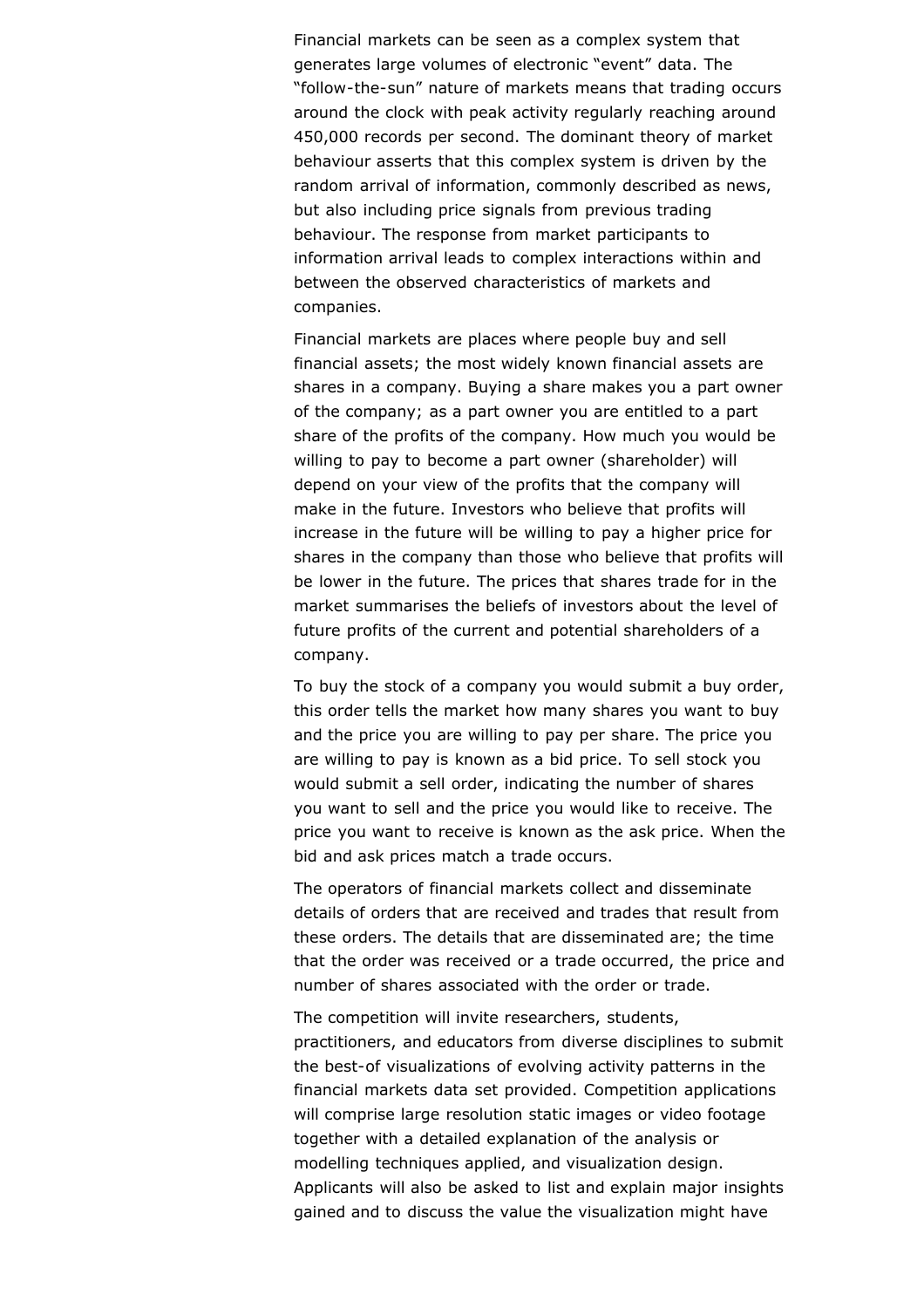Financial markets can be seen as a complex system that generates large volumes of electronic "event" data. The "follow-the-sun" nature of markets means that trading occurs around the clock with peak activity regularly reaching around 450,000 records per second. The dominant theory of market behaviour asserts that this complex system is driven by the random arrival of information, commonly described as news, but also including price signals from previous trading behaviour. The response from market participants to information arrival leads to complex interactions within and between the observed characteristics of markets and companies.

Financial markets are places where people buy and sell financial assets; the most widely known financial assets are shares in a company. Buying a share makes you a part owner of the company; as a part owner you are entitled to a part share of the profits of the company. How much you would be willing to pay to become a part owner (shareholder) will depend on your view of the profits that the company will make in the future. Investors who believe that profits will increase in the future will be willing to pay a higher price for shares in the company than those who believe that profits will be lower in the future. The prices that shares trade for in the market summarises the beliefs of investors about the level of future profits of the current and potential shareholders of a company.

To buy the stock of a company you would submit a buy order, this order tells the market how many shares you want to buy and the price you are willing to pay per share. The price you are willing to pay is known as a bid price. To sell stock you would submit a sell order, indicating the number of shares you want to sell and the price you would like to receive. The price you want to receive is known as the ask price. When the bid and ask prices match a trade occurs.

The operators of financial markets collect and disseminate details of orders that are received and trades that result from these orders. The details that are disseminated are; the time that the order was received or a trade occurred, the price and number of shares associated with the order or trade.

The competition will invite researchers, students, practitioners, and educators from diverse disciplines to submit the best-of visualizations of evolving activity patterns in the financial markets data set provided. Competition applications will comprise large resolution static images or video footage together with a detailed explanation of the analysis or modelling techniques applied, and visualization design. Applicants will also be asked to list and explain major insights gained and to discuss the value the visualization might have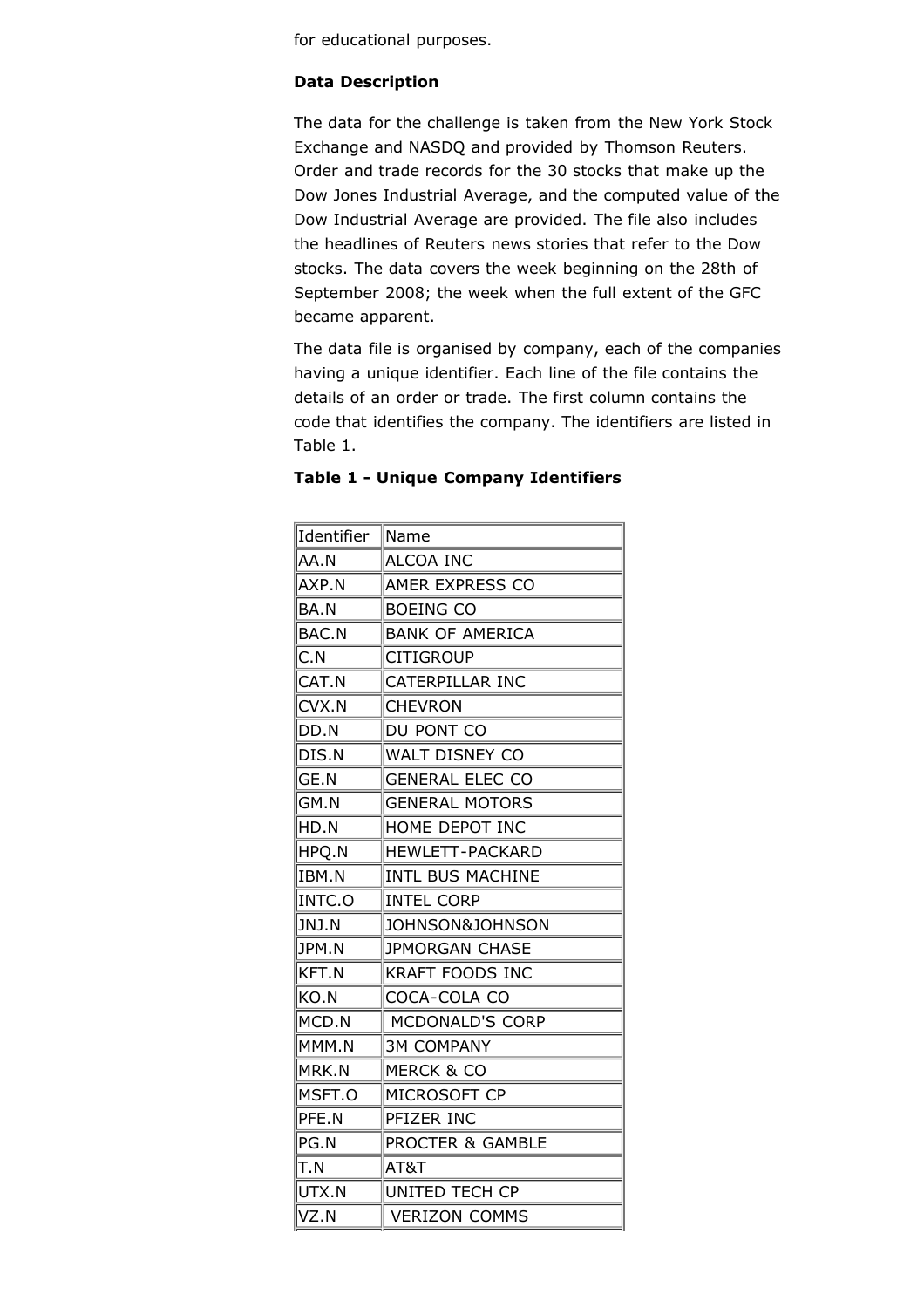for educational purposes.

### **Data Description**

The data for the challenge is taken from the New York Stock Exchange and NASDQ and provided by Thomson Reuters. Order and trade records for the 30 stocks that make up the Dow Jones Industrial Average, and the computed value of the Dow Industrial Average are provided. The file also includes the headlines of Reuters news stories that refer to the Dow stocks. The data covers the week beginning on the 28th of September 2008; the week when the full extent of the GFC became apparent.

The data file is organised by company, each of the companies having a unique identifier. Each line of the file contains the details of an order or trade. The first column contains the code that identifies the company. The identifiers are listed in Table 1.

| Identifier | Name                       |  |  |
|------------|----------------------------|--|--|
| AA.N       | <b>ALCOA INC</b>           |  |  |
| AXP.N      | AMER EXPRESS CO            |  |  |
| BA.N       | <b>BOEING CO</b>           |  |  |
| BAC.N      | <b>BANK OF AMERICA</b>     |  |  |
| C.N        | <b>CITIGROUP</b>           |  |  |
| CAT.N      | CATERPILLAR INC            |  |  |
| CVX.N      | <b>CHEVRON</b>             |  |  |
| DD.N       | DU PONT CO                 |  |  |
| DIS.N      | <b>WALT DISNEY CO</b>      |  |  |
| GE.N       | <b>GENERAL ELEC CO</b>     |  |  |
| GM.N       | <b>GENERAL MOTORS</b>      |  |  |
| HD.N       | HOME DEPOT INC             |  |  |
| HPQ.N      | <b>HEWLETT-PACKARD</b>     |  |  |
| IBM.N      | <b>INTL BUS MACHINE</b>    |  |  |
| INTC.O     | <b>INTEL CORP</b>          |  |  |
| JNJ.N      | <b>JOHNSON&amp;JOHNSON</b> |  |  |
| JPM.N      | JPMORGAN CHASE             |  |  |
| KFT.N      | <b>KRAFT FOODS INC</b>     |  |  |
| KO.N       | COCA-COLA CO               |  |  |
| MCD.N      | MCDONALD'S CORP            |  |  |
| MMM.N      | <b>3M COMPANY</b>          |  |  |
| MRK.N      | <b>MERCK &amp; CO</b>      |  |  |
| MSFT.O     | MICROSOFT CP               |  |  |
| PFE.N      | PFIZER INC                 |  |  |
| PG.N       | PROCTER & GAMBLE           |  |  |
| T.N        | AT&T                       |  |  |
| UTX.N      | UNITED TECH CP             |  |  |
| VZ.N       | <b>VERIZON COMMS</b>       |  |  |

#### **Table 1 - Unique Company Identifiers**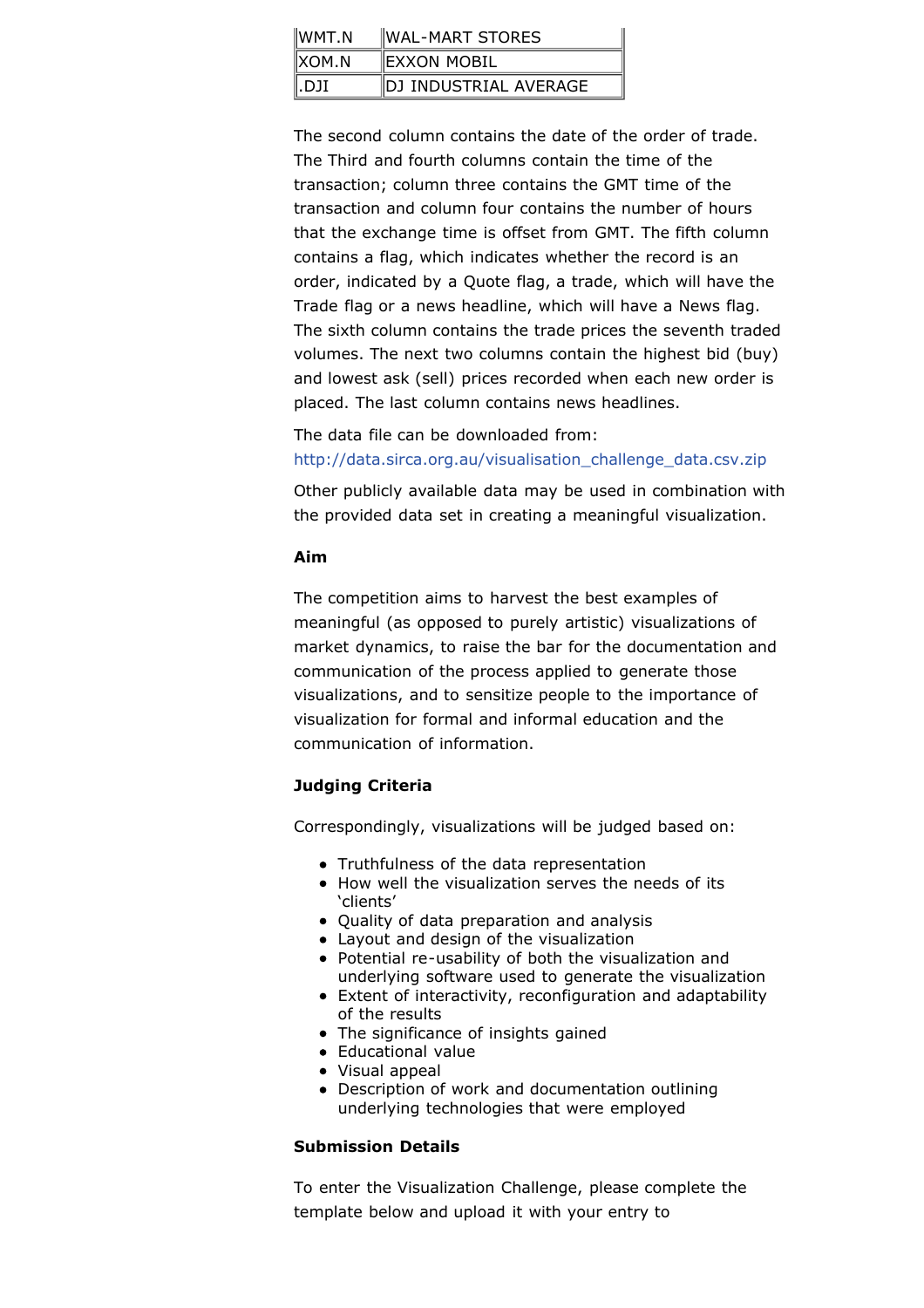| $\mathsf{IWMT}$ .N | WAL-MART STORES       |  |  |
|--------------------|-----------------------|--|--|
| $\parallel$ XOM.N  | EXXON MOBIL           |  |  |
| ∥.DJI              | DJ INDUSTRIAL AVERAGE |  |  |

The second column contains the date of the order of trade. The Third and fourth columns contain the time of the transaction; column three contains the GMT time of the transaction and column four contains the number of hours that the exchange time is offset from GMT. The fifth column contains a flag, which indicates whether the record is an order, indicated by a Quote flag, a trade, which will have the Trade flag or a news headline, which will have a News flag. The sixth column contains the trade prices the seventh traded volumes. The next two columns contain the highest bid (buy) and lowest ask (sell) prices recorded when each new order is placed. The last column contains news headlines.

The data file can be downloaded from: [http://data.sirca.org.au/visualisation\\_challenge\\_data.csv.zip](http://data.sirca.org.au/visualisation_challenge_data.csv.zip)

Other publicly available data may be used in combination with the provided data set in creating a meaningful visualization.

### **Aim**

The competition aims to harvest the best examples of meaningful (as opposed to purely artistic) visualizations of market dynamics, to raise the bar for the documentation and communication of the process applied to generate those visualizations, and to sensitize people to the importance of visualization for formal and informal education and the communication of information.

# **Judging Criteria**

Correspondingly, visualizations will be judged based on:

- Truthfulness of the data representation
- How well the visualization serves the needs of its 'clients'
- Quality of data preparation and analysis
- Layout and design of the visualization
- Potential re-usability of both the visualization and underlying software used to generate the visualization
- Extent of interactivity, reconfiguration and adaptability of the results
- The significance of insights gained
- Educational value
- Visual appeal
- Description of work and documentation outlining underlying technologies that were employed

# **Submission Details**

To enter the Visualization Challenge, please complete the template below and upload it with your entry to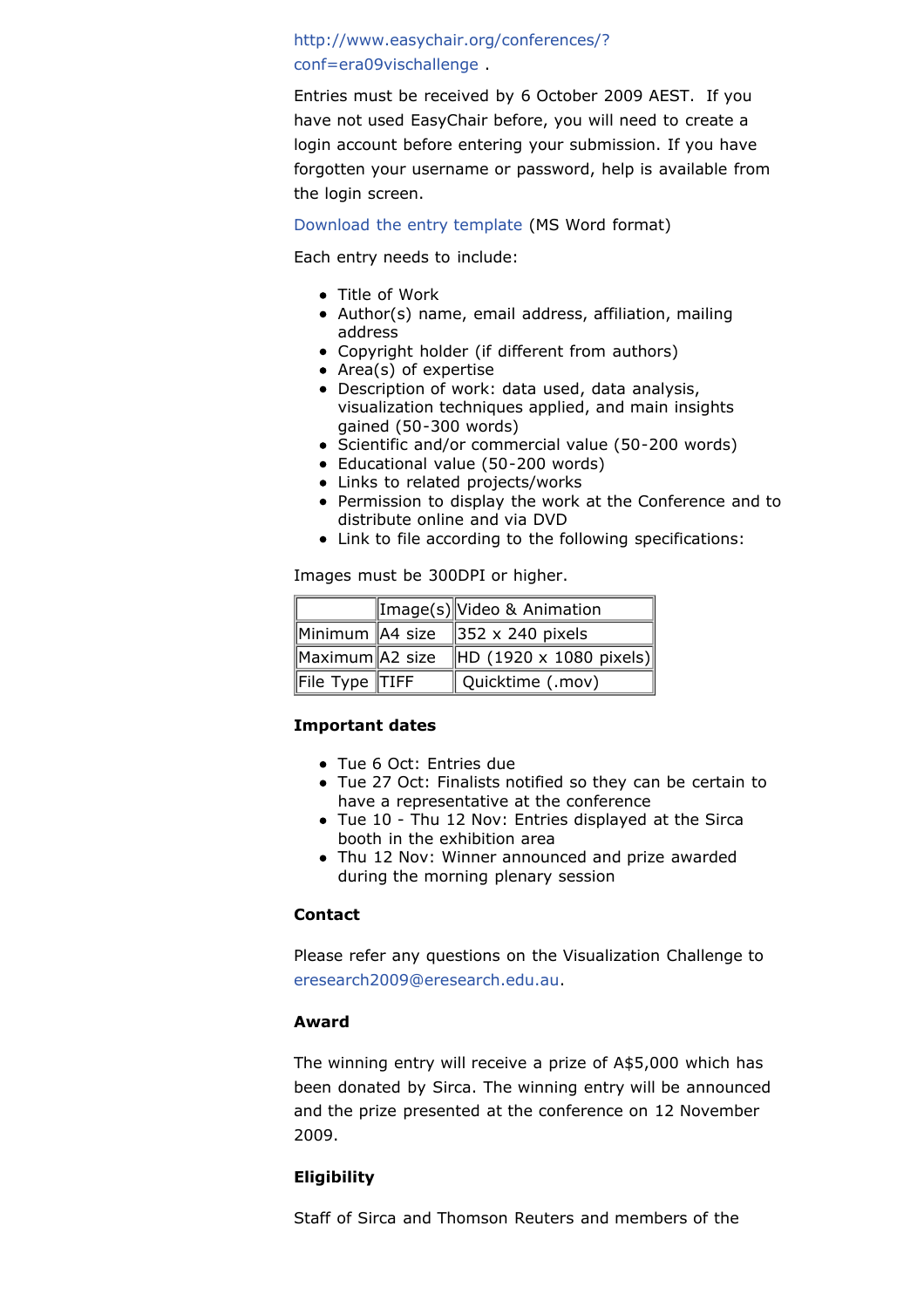# [http://www.easychair.org/conferences/?](http://www.easychair.org/conferences/?conf=era09vischallenge) conf=era09vischallenge .

Entries must be received by 6 October 2009 AEST. If you have not used EasyChair before, you will need to create a login account before entering your submission. If you have forgotten your username or password, help is available from the login screen.

#### [Download the entry template](http://www.eresearch.edu.au/docs/2009/Entry_Form.doc) (MS Word format)

Each entry needs to include:

- Title of Work
- Author(s) name, email address, affiliation, mailing address
- Copyright holder (if different from authors)
- Area(s) of expertise
- Description of work: data used, data analysis, visualization techniques applied, and main insights gained (50-300 words)
- Scientific and/or commercial value (50-200 words)
- Educational value (50-200 words)
- Links to related projects/works
- Permission to display the work at the Conference and to distribute online and via DVD
- Link to file according to the following specifications:

Images must be 300DPI or higher.

|                          | Image(s) Video & Animation                     |
|--------------------------|------------------------------------------------|
|                          | Minimum $AA$ size $\parallel$ 352 x 240 pixels |
| Maximum A2 size          | $\ $ HD (1920 x 1080 pixels)                   |
| $\ $ File Type $\ $ TIFF | Quicktime (.mov)                               |

# **Important dates**

- Tue 6 Oct: Entries due
- Tue 27 Oct: Finalists notified so they can be certain to have a representative at the conference
- Tue 10 Thu 12 Nov: Entries displayed at the Sirca booth in the exhibition area
- Thu 12 Nov: Winner announced and prize awarded during the morning plenary session

# **Contact**

Please refer any questions on the Visualization Challenge to [eresearch2009@eresearch.edu.au](mailto:eresearch2009@eresearch.edu.au).

# **Award**

The winning entry will receive a prize of A\$5,000 which has been donated by Sirca. The winning entry will be announced and the prize presented at the conference on 12 November 2009.

# **Eligibility**

Staff of Sirca and Thomson Reuters and members of the